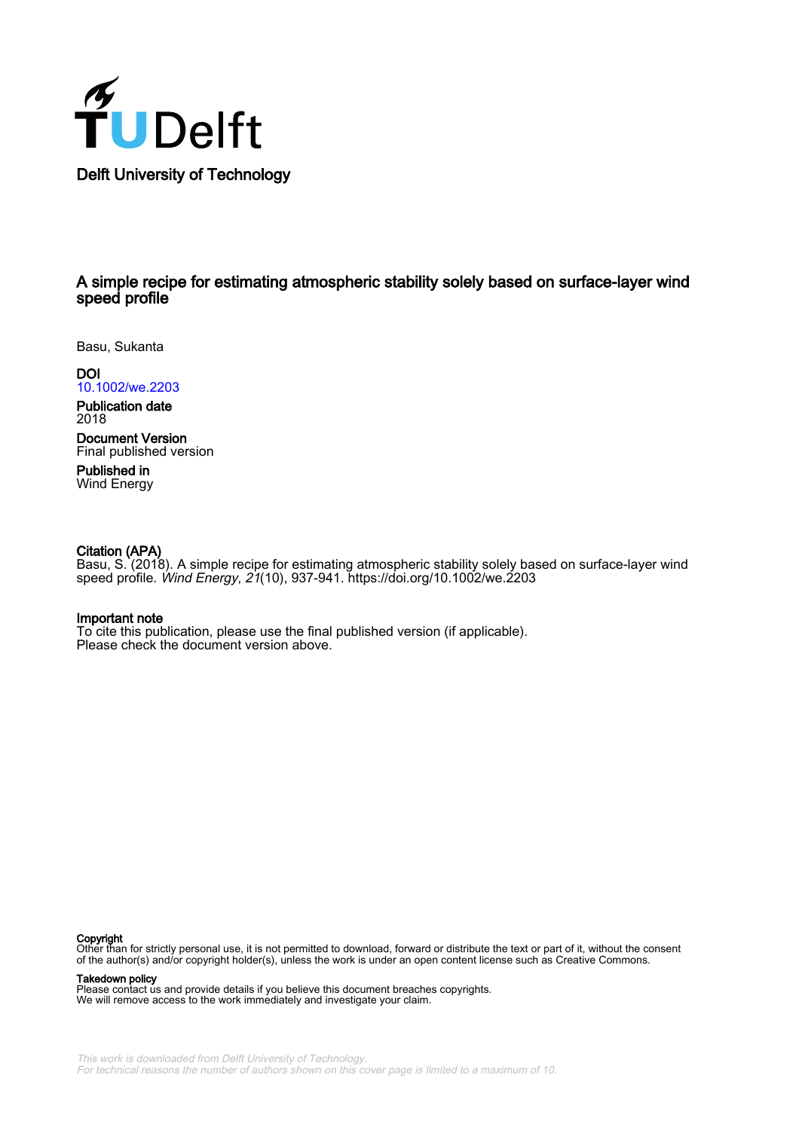

# A simple recipe for estimating atmospheric stability solely based on surface‐layer wind speed profile

Basu, Sukanta

DOI [10.1002/we.2203](https://doi.org/10.1002/we.2203)

Publication date 2018

Document Version Final published version

Published in Wind Energy

# Citation (APA)

Basu, S. (2018). A simple recipe for estimating atmospheric stability solely based on surface‐layer wind speed profile. Wind Energy, 21(10), 937-941.<https://doi.org/10.1002/we.2203>

# Important note

To cite this publication, please use the final published version (if applicable). Please check the document version above.

#### Copyright

Other than for strictly personal use, it is not permitted to download, forward or distribute the text or part of it, without the consent of the author(s) and/or copyright holder(s), unless the work is under an open content license such as Creative Commons.

### Takedown policy

Please contact us and provide details if you believe this document breaches copyrights. We will remove access to the work immediately and investigate your claim.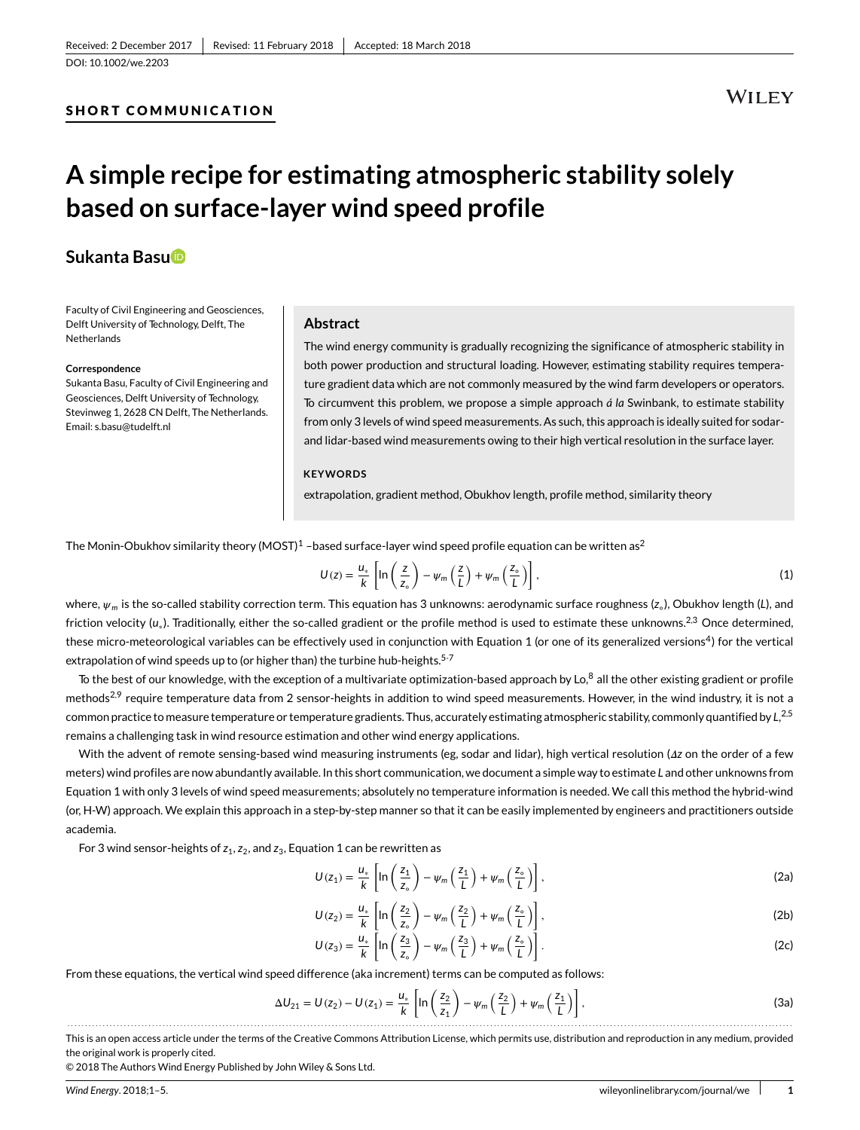DOI: [10.1002/we.2203](https://doi.org/10.1002/we.2203)

# SHORT COMMUNICATION

# **WILEY**

# **A simple recipe for estimating atmospheric stability solely based on surface-layer wind speed profile**

# **Sukanta Bas[u](http://orcid.org/0000-0002-0507-5349)**

Faculty of Civil Engineering and Geosciences, Delft University of Technology, Delft, The Netherlands

#### **Correspondence**

Sukanta Basu, Faculty of Civil Engineering and Geosciences, Delft University of Technology, Stevinweg 1, 2628 CN Delft, The Netherlands. Email: s.basu@tudelft.nl

### **Abstract**

The wind energy community is gradually recognizing the significance of atmospheric stability in both power production and structural loading. However, estimating stability requires temperature gradient data which are not commonly measured by the wind farm developers or operators. To circumvent this problem, we propose a simple approach *á la* Swinbank, to estimate stability from only 3 levels of wind speed measurements. As such, this approach is ideally suited for sodarand lidar-based wind measurements owing to their high vertical resolution in the surface layer.

### **KEYWORDS**

extrapolation, gradient method, Obukhov length, profile method, similarity theory

The Monin-Obukhov similarity theory (MOST)<sup>[1](#page-5-0)</sup> –based surface-layer wind speed profile equation can be written as<sup>[2](#page-5-1)</sup>

<span id="page-1-0"></span>
$$
U(z) = \frac{u_*}{k} \left[ \ln \left( \frac{z}{z_\circ} \right) - \psi_m \left( \frac{z}{L} \right) + \psi_m \left( \frac{z_\circ}{L} \right) \right],\tag{1}
$$

where,  $\psi_m$  is the so-called stability correction term. This equation has 3 unknowns: aerodynamic surface roughness (*z*<sub>◦</sub>), Obukhov length (*L*), and friction velocity (*u*∗). Traditionally, either the so-called gradient or the profile method is used to estimate these unknowns[.2,](#page-5-1)[3](#page-5-2) Once determined, these micro-meteorological variables can be effectively used in conjunction with Equation [1](#page-1-0) (or one of its generalized versions<sup>4</sup>) for the vertical extrapolation of wind speeds up to (or higher than) the turbine hub-heights.<sup>5-[7](#page-5-5)</sup>

To the best of our knowledge, with the exception of a multivariate optimization-based approach by Lo,<sup>8</sup> all the other existing gradient or profile methods<sup>[2,](#page-5-1)[9](#page-5-7)</sup> require temperature data from 2 sensor-heights in addition to wind speed measurements. However, in the wind industry, it is not a common practice to measure temperature or temperature gradients. Thus, accurately estimating atmospheric stability, commonly quantified by *L*, [2,](#page-5-1)[5](#page-5-4) remains a challenging task in wind resource estimation and other wind energy applications.

With the advent of remote sensing-based wind measuring instruments (eg, sodar and lidar), high vertical resolution ( $\Delta z$  on the order of a few meters) wind profiles are now abundantly available. In this short communication, we document a simple way to estimate *L* and other unknowns from Equation [1](#page-1-0) with only 3 levels of wind speed measurements; absolutely no temperature information is needed. We call this method the hybrid-wind (or, H-W) approach. We explain this approach in a step-by-step manner so that it can be easily implemented by engineers and practitioners outside academia.

For 3 wind sensor-heights of  $z_1$ ,  $z_2$ , and  $z_3$ , Equation [1](#page-1-0) can be rewritten as

$$
U(z_1) = \frac{u_*}{k} \left[ \ln \left( \frac{z_1}{z_\circ} \right) - \psi_m \left( \frac{z_1}{L} \right) + \psi_m \left( \frac{z_\circ}{L} \right) \right],\tag{2a}
$$

$$
U(z_2) = \frac{u_*}{k} \left[ \ln \left( \frac{z_2}{z_o} \right) - \psi_m \left( \frac{z_2}{L} \right) + \psi_m \left( \frac{z_o}{L} \right) \right],\tag{2b}
$$

$$
U(z_3) = \frac{u_*}{k} \left[ \ln \left( \frac{z_3}{z_\circ} \right) - \psi_m \left( \frac{z_3}{L} \right) + \psi_m \left( \frac{z_\circ}{L} \right) \right].
$$
 (2c)

From these equations, the vertical wind speed difference (aka increment) terms can be computed as follows:

$$
\Delta U_{21} = U(z_2) - U(z_1) = \frac{u_*}{k} \left[ \ln \left( \frac{z_2}{z_1} \right) - \psi_m \left( \frac{z_2}{L} \right) + \psi_m \left( \frac{z_1}{L} \right) \right],\tag{3a}
$$

This is an open access article under the terms of th[e Creative Commons Attribution](http://creativecommons.org/licenses/by/4.0/) License, which permits use, distribution and reproduction in any medium, provided the original work is properly cited.

© 2018 The Authors Wind Energy Published by John Wiley & Sons Ltd.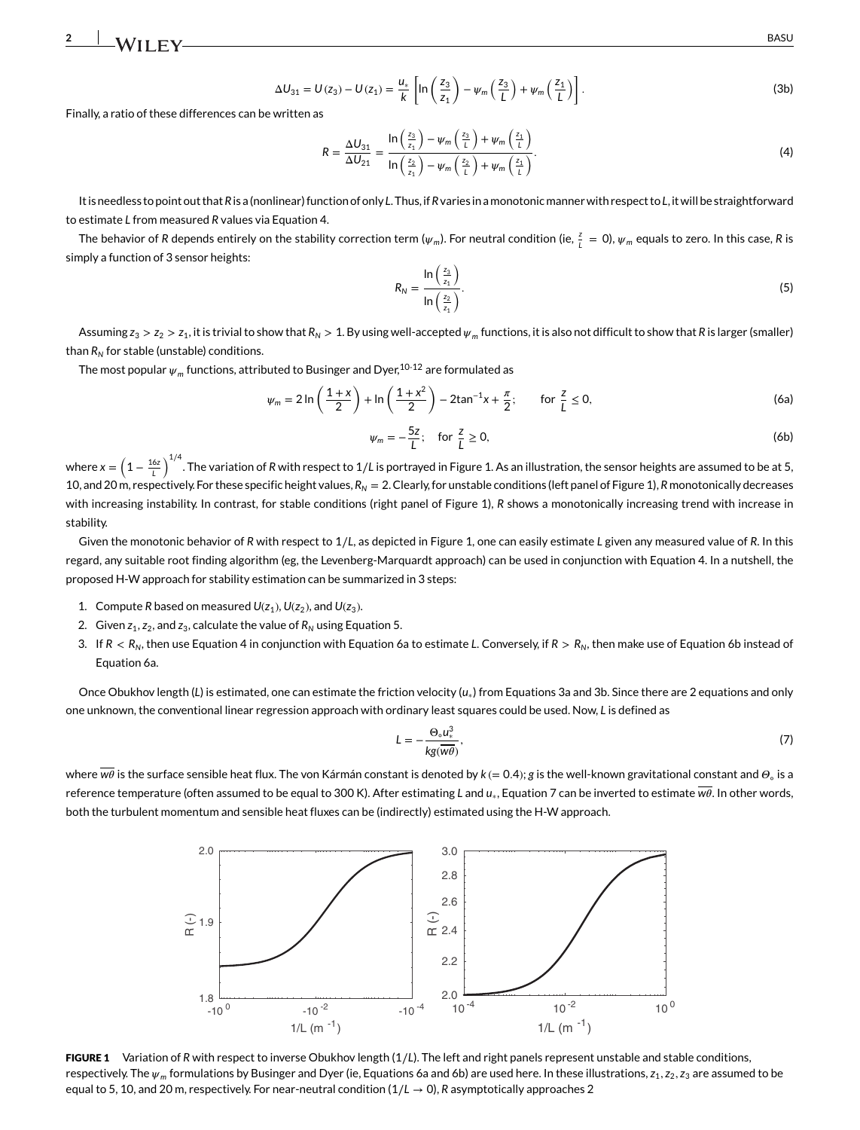$$
\Delta U_{31} = U(z_3) - U(z_1) = \frac{u_*}{k} \left[ \ln \left( \frac{z_3}{z_1} \right) - \psi_m \left( \frac{z_3}{L} \right) + \psi_m \left( \frac{z_1}{L} \right) \right].
$$
 (3b)

Finally, a ratio of these differences can be written as

$$
R = \frac{\Delta U_{31}}{\Delta U_{21}} = \frac{\ln\left(\frac{z_3}{z_1}\right) - \psi_m\left(\frac{z_3}{L}\right) + \psi_m\left(\frac{z_1}{L}\right)}{\ln\left(\frac{z_2}{z_1}\right) - \psi_m\left(\frac{z_2}{L}\right) + \psi_m\left(\frac{z_1}{L}\right)}.
$$
\n(4)

It is needless to point out that*R*is a (nonlinear) function of only *L*. Thus, if*R*varies in amonotonicmanner with respect to*L*, it will be straightforward to estimate *L* from measured *R* values via Equation [4.](#page-1-0)

The behavior of *R* depends entirely on the stability correction term ( $\psi_m$ ). For neutral condition (ie,  $\frac{z}{\iota}=0$ ),  $\psi_m$  equals to zero. In this case, *R* is simply a function of 3 sensor heights:

$$
R_N = \frac{\ln\left(\frac{z_3}{z_1}\right)}{\ln\left(\frac{z_2}{z_1}\right)}.\tag{5}
$$

Assuming  $z_3 > z_2 > z_1$ , it is trivial to show that  $R_N > 1$ . By using well-accepted  $\psi_m$  functions, it is also not difficult to show that *R* is larger (smaller) than *RN* for stable (unstable) conditions.

The most popular  $\psi_m$  functions, attributed to Businger and Dyer,<sup>10-[12](#page-5-10)</sup> are formulated as

$$
\psi_m = 2\ln\left(\frac{1+x}{2}\right) + \ln\left(\frac{1+x^2}{2}\right) - 2\tan^{-1}x + \frac{\pi}{2}; \qquad \text{for } \frac{z}{L} \le 0,
$$
 (6a)

$$
\psi_m = -\frac{5z}{L}; \quad \text{for } \frac{z}{L} \ge 0,
$$
\n<sup>(6b)</sup>

where  $x=\left(1-\frac{16z}{L}\right)^{1/4}$ . The variation of *R* with respect to 1/*L* is portrayed in Figure [1.](#page-2-0) As an illustration, the sensor heights are assumed to be at 5, 10, and 20 m, respectively. For these specific height values,  $R_N = 2$ . Clearly, for unstable conditions (left panel of Figure [1\)](#page-2-0), *R* monotonically decreases with increasing instability. In contrast, for stable conditions (right panel of Figure [1\)](#page-2-0), *R* shows a monotonically increasing trend with increase in stability.

Given the monotonic behavior of *R* with respect to 1∕*L*, as depicted in Figure [1,](#page-2-0) one can easily estimate *L* given any measured value of *R*. In this regard, any suitable root finding algorithm (eg, the Levenberg-Marquardt approach) can be used in conjunction with Equation [4.](#page-1-0) In a nutshell, the proposed H-W approach for stability estimation can be summarized in 3 steps:

- 1. Compute *R* based on measured  $U(z_1)$ ,  $U(z_2)$ , and  $U(z_3)$ .
- 2. Given  $z_1$ ,  $z_2$ , and  $z_3$ , calculate the value of  $R_N$  using Equation [5.](#page-1-0)
- 3. If  $R < R_N$ , then use Equation [4](#page-1-0) in conjunction with Equation [6a](#page-1-0) to estimate L. Conversely, if  $R > R_N$ , then make use of Equation [6b](#page-1-0) instead of Equation [6a.](#page-1-0)

Once Obukhov length (*L*) is estimated, one can estimate the friction velocity (*u*∗) from Equations [3a](#page-1-0) and [3b.](#page-1-0) Since there are 2 equations and only one unknown, the conventional linear regression approach with ordinary least squares could be used. Now, *L* is defined as

$$
L = -\frac{\Theta_{\circ}u_{*}^{3}}{kg(\overline{w}\overline{\theta})},\tag{7}
$$

where  $\overline{w\theta}$  is the surface sensible heat flux. The von Kármán constant is denoted by  $k (= 0.4)$ ; *g* is the well-known gravitational constant and  $\Theta_{\circ}$  is a reference temperature (often assumed to be equal to 300 K). After estimating *L* and *u*<sub>∗</sub>, Equation [7](#page-1-0) can be inverted to estimate  $\overline{w\theta}$ . In other words, both the turbulent momentum and sensible heat fluxes can be (indirectly) estimated using the H-W approach.



<span id="page-2-0"></span>FIGURE 1 Variation of *R* with respect to inverse Obukhov length (1∕*L*). The left and right panels represent unstable and stable conditions, respectively. The  $\psi_m$  formulations by Businger and Dyer (ie, Equations [6a](#page-1-0) and [6b\)](#page-1-0) are used here. In these illustrations,  $z_1$ ,  $z_2$ ,  $z_3$  are assumed to be equal to 5, 10, and 20 m, respectively. For near-neutral condition  $(1/L \rightarrow 0)$ , *R* asymptotically approaches 2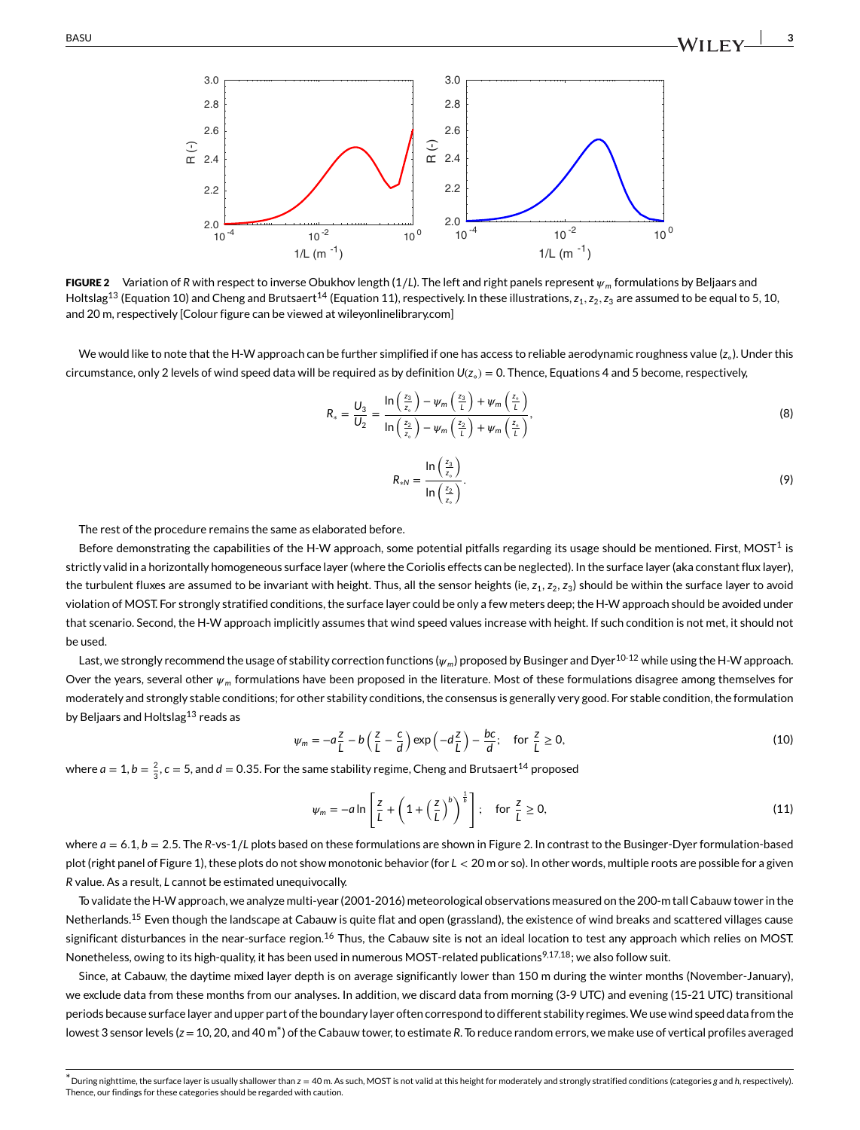

<span id="page-3-0"></span>FIGURE 2 Variation of *R* with respect to inverse Obukhov length (1∕*L*). The left and right panels represent *<sup>m</sup>* formulations by Beljaars and Holtslag<sup>13</sup> (Equation [10\)](#page-1-0) and Cheng and Brutsaert<sup>[14](#page-5-12)</sup> (Equation [11\)](#page-1-0), respectively. In these illustrations,  $z_1$ ,  $z_2$ ,  $z_3$  are assumed to be equal to 5, 10, and 20 m, respectively [Colour figure can be viewed at [wileyonlinelibrary.com\]](http://wileyonlinelibrary.com)

We would like to note that the H-W approach can be further simplified if one has access to reliable aerodynamic roughness value (*z*◦). Under this circumstance, only 2 levels of wind speed data will be required as by definition *U*(*z*◦) = 0. Thence, Equations [4](#page-1-0) and [5](#page-1-0) become, respectively,

$$
R_* = \frac{U_3}{U_2} = \frac{\ln\left(\frac{z_3}{z_c}\right) - \psi_m\left(\frac{z_3}{L}\right) + \psi_m\left(\frac{z_c}{L}\right)}{\ln\left(\frac{z_2}{z_c}\right) - \psi_m\left(\frac{z_2}{L}\right) + \psi_m\left(\frac{z_c}{L}\right)},\tag{8}
$$

$$
R_{*N} = \frac{\ln\left(\frac{z_3}{z_s}\right)}{\ln\left(\frac{z_2}{z_s}\right)}.
$$
\n(9)

The rest of the procedure remains the same as elaborated before.

Before demonstrating the capabilities of the H-W approach, some potential pitfalls regarding its usage should be mentioned. First, MOST<sup>[1](#page-5-0)</sup> is strictly valid in a horizontally homogeneous surface layer (where the Coriolis effects can be neglected). In the surface layer (aka constant flux layer), the turbulent fluxes are assumed to be invariant with height. Thus, all the sensor heights (ie,  $z_1$ ,  $z_2$ ,  $z_3$ ) should be within the surface layer to avoid violation of MOST. For strongly stratified conditions, the surface layer could be only a few meters deep; the H-W approach should be avoided under that scenario. Second, the H-W approach implicitly assumes that wind speed values increase with height. If such condition is not met, it should not be used.

Last, we strongly recommend the usage of stability correction functions ( $\psi_m$ ) proposed by Businger and Dyer<sup>[10](#page-5-9)[-12](#page-5-10)</sup> while using the H-W approach. Over the years, several other  $\psi_m$  formulations have been proposed in the literature. Most of these formulations disagree among themselves for moderately and strongly stable conditions; for other stability conditions, the consensus is generally very good. For stable condition, the formulation by Beljaars and Holtslag<sup>13</sup> reads as

$$
\psi_m = -a\frac{z}{L} - b\left(\frac{z}{L} - \frac{c}{d}\right) \exp\left(-d\frac{z}{L}\right) - \frac{bc}{d}; \quad \text{for } \frac{z}{L} \ge 0,
$$
\n(10)

where  $a = 1$ ,  $b = \frac{2}{3}$ ,  $c = 5$ , and  $d = 0.35$ . For the same stability regime, Cheng and Brutsaert<sup>[14](#page-5-12)</sup> proposed

$$
\psi_m = -a \ln \left[ \frac{z}{L} + \left( 1 + \left( \frac{z}{L} \right)^b \right)^{\frac{1}{b}} \right]; \quad \text{for } \frac{z}{L} \ge 0,
$$
\n(11)

where *a* = 6*.*1, *b* = 2*.*5. The *R*-vs-1∕*L* plots based on these formulations are shown in Figure [2.](#page-3-0) In contrast to the Businger-Dyer formulation-based plot (right panel of Figure 1), these plots do not show monotonic behavior (for *L <* 20 m or so). In other words, multiple roots are possible for a given *R* value. As a result, *L* cannot be estimated unequivocally.

To validate the H-W approach, we analyze multi-year (2001-2016) meteorological observations measured on the 200-m tall Cabauw tower in the Netherlands.<sup>15</sup> Even though the landscape at Cabauw is quite flat and open (grassland), the existence of wind breaks and scattered villages cause significant disturbances in the near-surface region.<sup>[16](#page-5-14)</sup> Thus, the Cabauw site is not an ideal location to test any approach which relies on MOST. Nonetheless, owing to its high-quality, it has been used in numerous MOST-related publications<sup>[9,](#page-5-7)[17](#page-5-15),18</sup>; we also follow suit.

Since, at Cabauw, the daytime mixed layer depth is on average significantly lower than 150 m during the winter months (November-January), we exclude data from these months from our analyses. In addition, we discard data from morning (3-9 UTC) and evening (15-21 UTC) transitional periods because surface layer and upper part of the boundary layer often correspond to different stability regimes. We use wind speed data from the lowest 3 sensor levels (*z*=10, 20, and 40 [m\\*](#page-3-1)) of the Cabauw tower, to estimate *R*. To reduce random errors, we make use of vertical profiles averaged

<span id="page-3-1"></span>\*During nighttime, the surface layer is usually shallower than *z* = 40 m. As such, MOST is not valid at this height for moderately and strongly stratified conditions (categories *g* and *h*, respectively). Thence, our findings for these categories should be regarded with caution.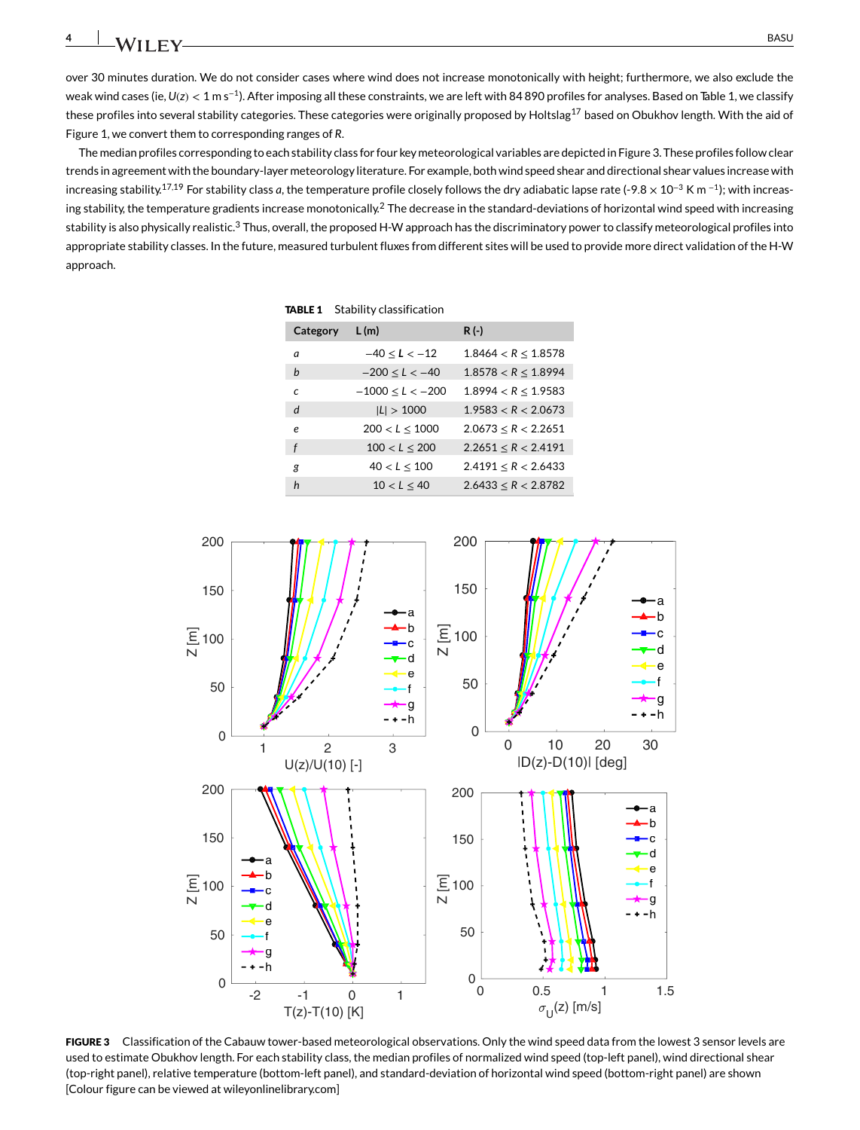over 30 minutes duration. We do not consider cases where wind does not increase monotonically with height; furthermore, we also exclude the weak wind cases (ie, *U*(*z*) *<* 1 m s<sup>−</sup>1). After imposing all these constraints, we are left with 84 890 profiles for analyses. Based on Table [1,](#page-4-0) we classify these profiles into several stability categories. These categories were originally proposed by Holtslag<sup>17</sup> based on Obukhov length. With the aid of Figure [1,](#page-2-0) we convert them to corresponding ranges of *R*.

The median profiles corresponding to each stability class for four key meteorological variables are depicted in Figure [3.](#page-4-1) These profiles follow clear trends in agreement with the boundary-layer meteorology literature. For example, both wind speed shear and directional shear values increase with increasing stability.[17](#page-5-15)[,19](#page-5-17) For stability class *a*, the temperature profile closely follows the dry adiabatic lapse rate (-9*.*8 × 10<sup>−</sup><sup>3</sup> K m <sup>−</sup>1); with increas-ing stability, the temperature gradients increase monotonically.<sup>[2](#page-5-1)</sup> The decrease in the standard-deviations of horizontal wind speed with increasing stability is also physically realistic.<sup>[3](#page-5-2)</sup> Thus, overall, the proposed H-W approach has the discriminatory power to classify meteorological profiles into appropriate stability classes. In the future, measured turbulent fluxes from different sites will be used to provide more direct validation of the H-W approach.

<span id="page-4-0"></span>TABLE 1 Stability classification

| Category   | L(m)                 | $R(-)$                   |
|------------|----------------------|--------------------------|
| a          | $-40 < L < -12$      | 1.8464 < R < 1.8578      |
| h          | $-200 < L < -40$     | 1.8578 < R < 1.8994      |
| $\epsilon$ | $-1000 \le L < -200$ | 1.8994 < R < 1.9583      |
| d          | L  > 1000            | 1.9583 < R < 2.0673      |
| e          | 200 < L < 1000       | 2.0673 < R < 2.2651      |
| f          | 100 < L < 200        | 2.2651 < R < 2.4191      |
| я          | $40 < L \le 100$     | $2.4191 \leq R < 2.6433$ |
| h          | 10 < L < 40          | 2.6433 < R < 2.8782      |



<span id="page-4-1"></span>FIGURE 3 Classification of the Cabauw tower-based meteorological observations. Only the wind speed data from the lowest 3 sensor levels are used to estimate Obukhov length. For each stability class, the median profiles of normalized wind speed (top-left panel), wind directional shear (top-right panel), relative temperature (bottom-left panel), and standard-deviation of horizontal wind speed (bottom-right panel) are shown [Colour figure can be viewed at [wileyonlinelibrary.com\]](http://wileyonlinelibrary.com)